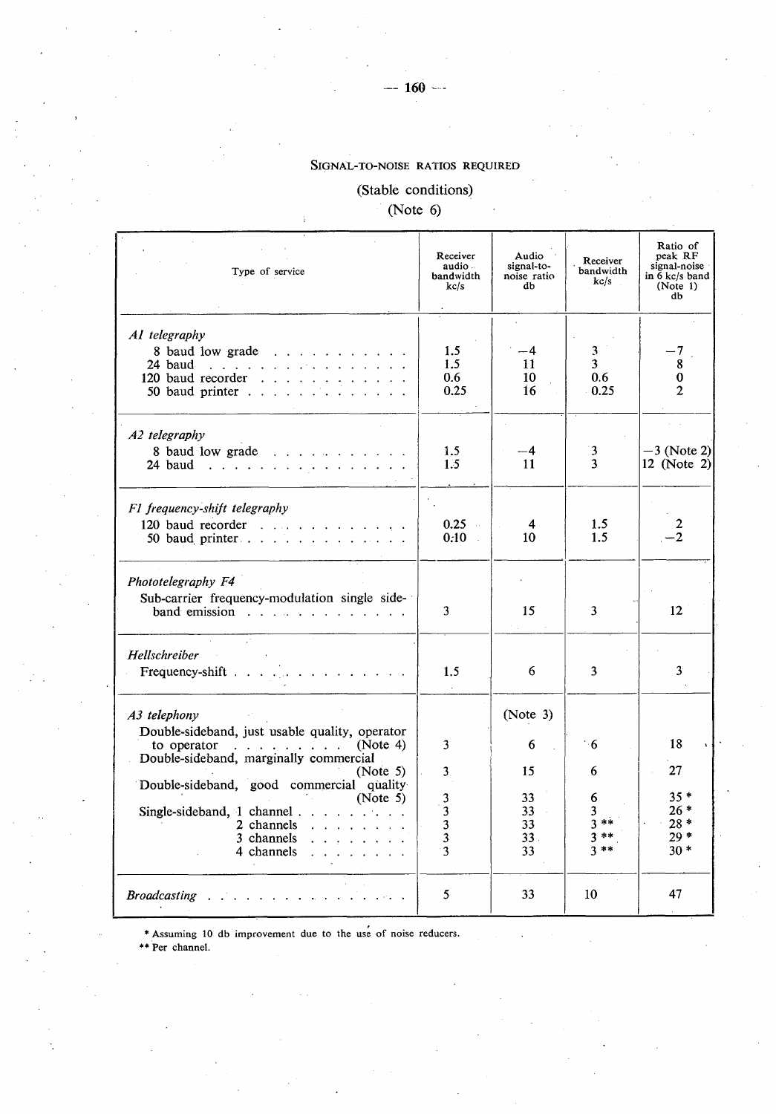## SIGNAL-TO-NOISE RATIOS REQUIRED

## **(Stable conditions)**

**(Note 6)**

ī.

| Type of service                                                                                             | Receiver<br>audio -<br>bandwidth<br>kc/s | Audio<br>signal-to-<br>noise ratio<br>db | Receiver<br>bandwidth<br>kc/s  | Ratio of<br>peak RF<br>signal-noise<br>in 6 kc/s band<br>(Note 1)<br>db |
|-------------------------------------------------------------------------------------------------------------|------------------------------------------|------------------------------------------|--------------------------------|-------------------------------------------------------------------------|
| AI telegraphy<br>8 baud low grade<br>24 baud<br>120 baud recorder                                           | 1.5<br>1.5<br>0.6<br>0.25                | -4<br>11<br>10<br>16                     | 3<br>3<br>0.6<br>0.25          | -7<br>8<br>0<br>$\mathbf{2}$                                            |
| A2 telegraphy                                                                                               |                                          |                                          |                                |                                                                         |
| 8 baud low grade<br>24 baud                                                                                 | 1.5<br>1.5                               | -4<br>11                                 | 3<br>3                         | $-3$ (Note 2)<br>$12$ (Note 2)                                          |
| F1 frequency-shift telegraphy<br>120 baud recorder $\ldots$ , $\ldots$ , $\ldots$<br>50 baud printer        | 0.25<br>$\sim$<br>0.10<br>$\mathcal{L}$  | 4<br>10                                  | 1.5<br>1.5                     | 2<br>$-2$                                                               |
| Phototelegraphy F4<br>Sub-carrier frequency-modulation single side-<br>band emission $\cdots$               | 3                                        | 15                                       | 3                              | 12                                                                      |
| Hellschreiber<br>Frequency-shift                                                                            | 1.5                                      | 6                                        | 3                              | $\mathbf{3}$                                                            |
| A3 telephony<br>Double-sideband, just usable quality, operator                                              |                                          | (Note 3)                                 |                                |                                                                         |
| to operator<br>(Note 4)<br>and a straight and a state<br>Double-sideband, marginally commercial             | 3                                        | 6                                        | 8∙'                            | 18                                                                      |
| (Note 5)<br>Double-sideband, good commercial quality<br>(Note 5)                                            | 3<br>3                                   | 15<br>33                                 | 6<br>6                         | 27<br>$35*$                                                             |
| Single-sideband, 1 channel $\ldots$ ,<br>2 channels<br>and a state of the state<br>3 channels<br>4 channels | 3<br>3<br>3<br>3                         | 33<br>33<br>33.<br>33                    | 3<br>$3**$<br>$3**$<br>$3 * *$ | $26*$<br>$28*$<br>$29*$<br>$30*$                                        |
| <u>and a straightforward and a straight and</u><br><b>Broadcasting</b>                                      | 5                                        | 33                                       | 10                             | 47                                                                      |

\* Assuming 10 db improvement due to the use of noise reducers.

\*\* Per channel.